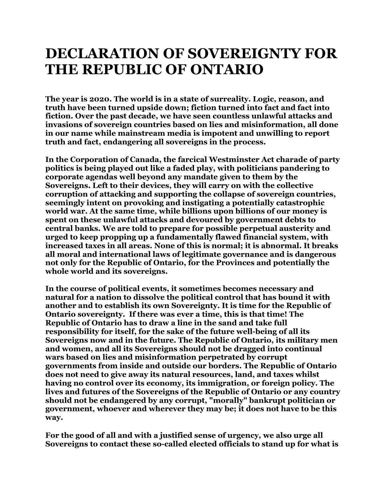## **DECLARATION OF SOVEREIGNTY FOR THE REPUBLIC OF ONTARIO**

**The year is 2020. The world is in a state of surreality. Logic, reason, and truth have been turned upside down; fiction turned into fact and fact into fiction. Over the past decade, we have seen countless unlawful attacks and invasions of sovereign countries based on lies and misinformation, all done in our name while mainstream media is impotent and unwilling to report truth and fact, endangering all sovereigns in the process.**

**In the Corporation of Canada, the farcical Westminster Act charade of party politics is being played out like a faded play, with politicians pandering to corporate agendas well beyond any mandate given to them by the Sovereigns. Left to their devices, they will carry on with the collective corruption of attacking and supporting the collapse of sovereign countries, seemingly intent on provoking and instigating a potentially catastrophic world war. At the same time, while billions upon billions of our money is spent on these unlawful attacks and devoured by government debts to central banks. We are told to prepare for possible perpetual austerity and urged to keep propping up a fundamentally flawed financial system, with increased taxes in all areas. None of this is normal; it is abnormal. It breaks all moral and international laws of legitimate governance and is dangerous not only for the Republic of Ontario, for the Provinces and potentially the whole world and its sovereigns.**

**In the course of political events, it sometimes becomes necessary and natural for a nation to dissolve the political control that has bound it with another and to establish its own Sovereignty. It is time for the Republic of Ontario sovereignty. If there was ever a time, this is that time! The Republic of Ontario has to draw a line in the sand and take full responsibility for itself, for the sake of the future well-being of all its Sovereigns now and in the future. The Republic of Ontario, its military men and women, and all its Sovereigns should not be dragged into continual wars based on lies and misinformation perpetrated by corrupt governments from inside and outside our borders. The Republic of Ontario does not need to give away its natural resources, land, and taxes whilst having no control over its economy, its immigration, or foreign policy. The lives and futures of the Sovereigns of the Republic of Ontario or any country should not be endangered by any corrupt, "morally" bankrupt politician or government, whoever and wherever they may be; it does not have to be this way.**

**For the good of all and with a justified sense of urgency, we also urge all Sovereigns to contact these so-called elected officials to stand up for what is**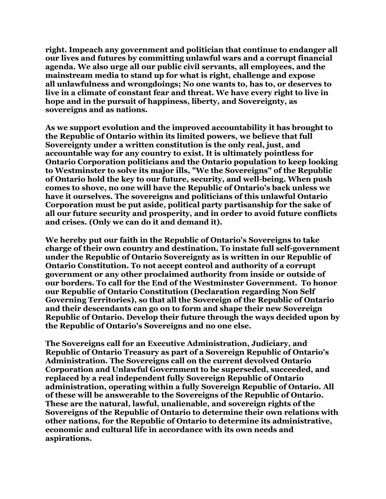**right. Impeach any government and politician that continue to endanger all our lives and futures by committing unlawful wars and a corrupt financial agenda. We also urge all our public civil servants, all employees, and the mainstream media to stand up for what is right, challenge and expose all unlawfulness and wrongdoings; No one wants to, has to, or deserves to live in a climate of constant fear and threat. We have every right to live in hope and in the pursuit of happiness, liberty, and Sovereignty, as sovereigns and as nations.**

**As we support evolution and the improved accountability it has brought to the Republic of Ontario within its limited powers, we believe that full Sovereignty under a written constitution is the only real, just, and accountable way for any country to exist. It is ultimately pointless for Ontario Corporation politicians and the Ontario population to keep looking to Westminster to solve its major ills, "We the Sovereigns" of the Republic of Ontario hold the key to our future, security, and well-being. When push comes to shove, no one will have the Republic of Ontario's back unless we have it ourselves. The sovereigns and politicians of this unlawful Ontario Corporation must be put aside, political party partisanship for the sake of all our future security and prosperity, and in order to avoid future conflicts and crises. (Only we can do it and demand it).**

**We hereby put our faith in the Republic of Ontario's Sovereigns to take charge of their own country and destination. To instate full self-government under the Republic of Ontario Sovereignty as is written in our Republic of Ontario Constitution. To not accept control and authority of a corrupt government or any other proclaimed authority from inside or outside of our borders. To call for the End of the Westminster Government. To honor our Republic of Ontario Constitution (Declaration regarding Non Self Governing Territories), so that all the Sovereign of the Republic of Ontario and their descendants can go on to form and shape their new Sovereign Republic of Ontario. Develop their future through the ways decided upon by the Republic of Ontario's Sovereigns and no one else.**

**The Sovereigns call for an Executive Administration, Judiciary, and Republic of Ontario Treasury as part of a Sovereign Republic of Ontario's Administration. The Sovereigns call on the current devolved Ontario Corporation and Unlawful Government to be superseded, succeeded, and replaced by a real independent fully Sovereign Republic of Ontario administration, operating within a fully Sovereign Republic of Ontario. All of these will be answerable to the Sovereigns of the Republic of Ontario. These are the natural, lawful, unalienable, and sovereign rights of the Sovereigns of the Republic of Ontario to determine their own relations with other nations, for the Republic of Ontario to determine its administrative, economic and cultural life in accordance with its own needs and aspirations.**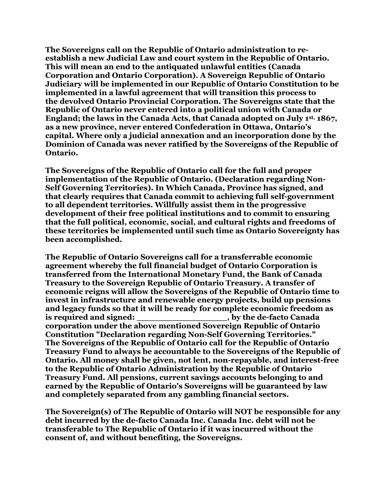**The Sovereigns call on the Republic of Ontario administration to reestablish a new Judicial Law and court system in the Republic of Ontario. This will mean an end to the antiquated unlawful entities (Canada Corporation and Ontario Corporation). A Sovereign Republic of Ontario Judiciary will be implemented in our Republic of Ontario Constitution to be implemented in a lawful agreement that will transition this process to the devolved Ontario Provincial Corporation. The Sovereigns state that the Republic of Ontario never entered into a political union with Canada or England; the laws in the Canada Acts, that Canada adopted on July 1st, 1867, as a new province, never entered Confederation in Ottawa, Ontario's capital. Where only a judicial annexation and an incorporation done by the Dominion of Canada was never ratified by the Sovereigns of the Republic of Ontario.** 

**The Sovereigns of the Republic of Ontario call for the full and proper implementation of the Republic of Ontario. (Declaration regarding Non-Self Governing Territories). In Which Canada, Province has signed, and that clearly requires that Canada commit to achieving full self-government to all dependent territories. Willfully assist them in the progressive development of their free political institutions and to commit to ensuring that the full political, economic, social, and cultural rights and freedoms of these territories be implemented until such time as Ontario Sovereignty has been accomplished.**

**The Republic of Ontario Sovereigns call for a transferrable economic agreement whereby the full financial budget of Ontario Corporation is transferred from the International Monetary Fund, the Bank of Canada Treasury to the Sovereign Republic of Ontario Treasury. A transfer of economic reigns will allow the Sovereigns of the Republic of Ontario time to invest in infrastructure and renewable energy projects, build up pensions and legacy funds so that it will be ready for complete economic freedom as is required and signed: \_\_\_\_\_\_\_\_\_\_\_\_\_\_\_\_\_, by the de-facto Canada corporation under the above mentioned Sovereign Republic of Ontario Constitution "Declaration regarding Non-Self Governing Territories." The Sovereigns of the Republic of Ontario call for the Republic of Ontario Treasury Fund to always be accountable to the Sovereigns of the Republic of Ontario. All money shall be given, not lent, non-repayable, and interest-free to the Republic of Ontario Administration by the Republic of Ontario Treasury Fund. All pensions, current savings accounts belonging to and earned by the Republic of Ontario's Sovereigns will be guaranteed by law and completely separated from any gambling financial sectors.**

**The Sovereign(s) of The Republic of Ontario will NOT be responsible for any debt incurred by the de-facto Canada Inc. Canada Inc. debt will not be transferable to The Republic of Ontario if it was incurred without the consent of, and without benefiting, the Sovereigns.**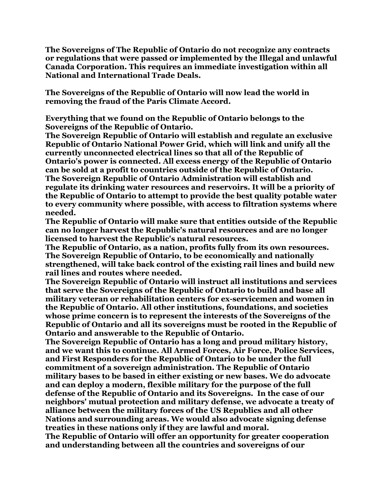**The Sovereigns of The Republic of Ontario do not recognize any contracts or regulations that were passed or implemented by the Illegal and unlawful Canada Corporation. This requires an immediate investigation within all National and International Trade Deals.** 

**The Sovereigns of the Republic of Ontario will now lead the world in removing the fraud of the Paris Climate Accord.** 

**Everything that we found on the Republic of Ontario belongs to the Sovereigns of the Republic of Ontario.**

**The Sovereign Republic of Ontario will establish and regulate an exclusive Republic of Ontario National Power Grid, which will link and unify all the currently unconnected electrical lines so that all of the Republic of Ontario's power is connected. All excess energy of the Republic of Ontario can be sold at a profit to countries outside of the Republic of Ontario. The Sovereign Republic of Ontario Administration will establish and regulate its drinking water resources and reservoirs. It will be a priority of the Republic of Ontario to attempt to provide the best quality potable water to every community where possible, with access to filtration systems where needed.**

**The Republic of Ontario will make sure that entities outside of the Republic can no longer harvest the Republic's natural resources and are no longer licensed to harvest the Republic's natural resources.**

**The Republic of Ontario, as a nation, profits fully from its own resources. The Sovereign Republic of Ontario, to be economically and nationally strengthened, will take back control of the existing rail lines and build new rail lines and routes where needed.**

**The Sovereign Republic of Ontario will instruct all institutions and services that serve the Sovereigns of the Republic of Ontario to build and base all military veteran or rehabilitation centers for ex-servicemen and women in the Republic of Ontario. All other institutions, foundations, and societies whose prime concern is to represent the interests of the Sovereigns of the Republic of Ontario and all its sovereigns must be rooted in the Republic of Ontario and answerable to the Republic of Ontario.**

**The Sovereign Republic of Ontario has a long and proud military history, and we want this to continue. All Armed Forces, Air Force, Police Services, and First Responders for the Republic of Ontario to be under the full commitment of a sovereign administration. The Republic of Ontario military bases to be based in either existing or new bases. We do advocate and can deploy a modern, flexible military for the purpose of the full defense of the Republic of Ontario and its Sovereigns. In the case of our neighbors' mutual protection and military defense, we advocate a treaty of alliance between the military forces of the US Republics and all other Nations and surrounding areas. We would also advocate signing defense treaties in these nations only if they are lawful and moral.**

**The Republic of Ontario will offer an opportunity for greater cooperation and understanding between all the countries and sovereigns of our**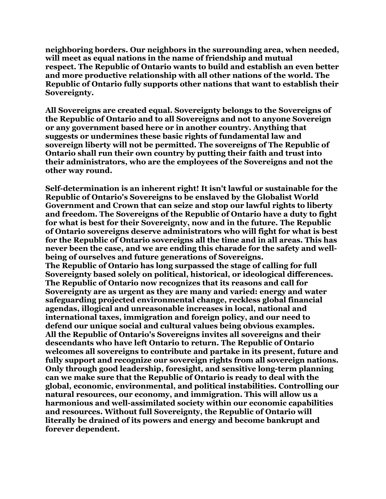**neighboring borders. Our neighbors in the surrounding area, when needed, will meet as equal nations in the name of friendship and mutual respect. The Republic of Ontario wants to build and establish an even better and more productive relationship with all other nations of the world. The Republic of Ontario fully supports other nations that want to establish their Sovereignty.**

**All Sovereigns are created equal. Sovereignty belongs to the Sovereigns of the Republic of Ontario and to all Sovereigns and not to anyone Sovereign or any government based here or in another country. Anything that suggests or undermines these basic rights of fundamental law and sovereign liberty will not be permitted. The sovereigns of The Republic of Ontario shall run their own country by putting their faith and trust into their administrators, who are the employees of the Sovereigns and not the other way round.**

**Self-determination is an inherent right! It isn't lawful or sustainable for the Republic of Ontario's Sovereigns to be enslaved by the Globalist World Government and Crown that can seize and stop our lawful rights to liberty and freedom. The Sovereigns of the Republic of Ontario have a duty to fight for what is best for their Sovereignty, now and in the future. The Republic of Ontario sovereigns deserve administrators who will fight for what is best for the Republic of Ontario sovereigns all the time and in all areas. This has never been the case, and we are ending this charade for the safety and wellbeing of ourselves and future generations of Sovereigns. The Republic of Ontario has long surpassed the stage of calling for full Sovereignty based solely on political, historical, or ideological differences. The Republic of Ontario now recognizes that its reasons and call for Sovereignty are as urgent as they are many and varied: energy and water safeguarding projected environmental change, reckless global financial agendas, illogical and unreasonable increases in local, national and international taxes, immigration and foreign policy, and our need to defend our unique social and cultural values being obvious examples. All the Republic of Ontario's Sovereigns invites all sovereigns and their descendants who have left Ontario to return. The Republic of Ontario welcomes all sovereigns to contribute and partake in its present, future and fully support and recognize our sovereign rights from all sovereign nations. Only through good leadership, foresight, and sensitive long-term planning can we make sure that the Republic of Ontario is ready to deal with the global, economic, environmental, and political instabilities. Controlling our natural resources, our economy, and immigration. This will allow us a harmonious and well-assimilated society within our economic capabilities and resources. Without full Sovereignty, the Republic of Ontario will literally be drained of its powers and energy and become bankrupt and forever dependent.**